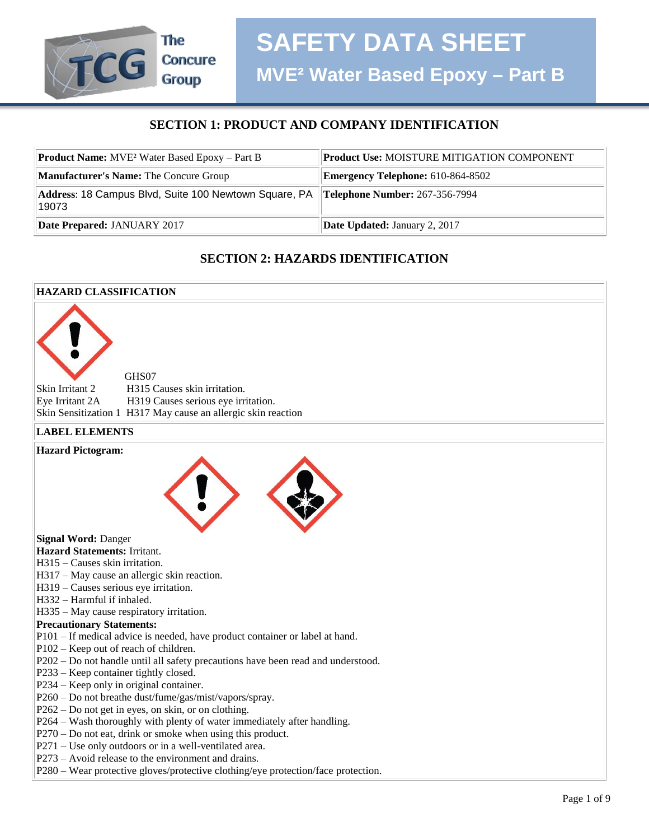# **SECTION 1: PRODUCT AND COMPANY IDENTIFICATION**

| <b>Product Name:</b> MVE <sup>2</sup> Water Based Epoxy – Part B                              | <b>Product Use: MOISTURE MITIGATION COMPONENT</b> |
|-----------------------------------------------------------------------------------------------|---------------------------------------------------|
| Manufacturer's Name: The Concure Group                                                        | <b>Emergency Telephone:</b> 610-864-8502          |
| Address: 18 Campus Blvd, Suite 100 Newtown Square, PA Telephone Number: 267-356-7994<br>19073 |                                                   |
| Date Prepared: JANUARY 2017                                                                   | <b>Date Updated: January 2, 2017</b>              |

# **SECTION 2: HAZARDS IDENTIFICATION**

#### **HAZARD CLASSIFICATION**

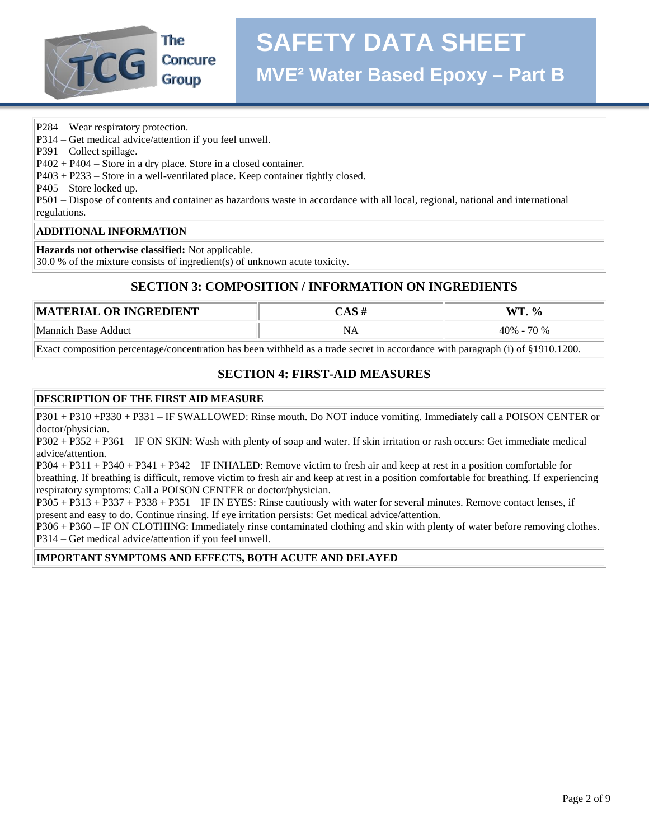

P284 – Wear respiratory protection.

P314 – Get medical advice/attention if you feel unwell.

P391 – Collect spillage.

P402 + P404 – Store in a dry place. Store in a closed container.

P403 + P233 – Store in a well-ventilated place. Keep container tightly closed.

P405 – Store locked up.

P501 – Dispose of contents and container as hazardous waste in accordance with all local, regional, national and international regulations.

#### **ADDITIONAL INFORMATION**

**Hazards not otherwise classified:** Not applicable.

30.0 % of the mixture consists of ingredient(s) of unknown acute toxicity.

# **SECTION 3: COMPOSITION / INFORMATION ON INGREDIENTS**

| <b>MATERIAL OR INGREDIENT</b> | $\mathbf{W}$<br>$\frac{6}{6}$ |
|-------------------------------|-------------------------------|
| Mannich Base Adduct           | 70 %<br>$40% -$               |

Exact composition percentage/concentration has been withheld as a trade secret in accordance with paragraph (i) of §1910.1200.

# **SECTION 4: FIRST-AID MEASURES**

#### **DESCRIPTION OF THE FIRST AID MEASURE**

P301 + P310 +P330 + P331 – IF SWALLOWED: Rinse mouth. Do NOT induce vomiting. Immediately call a POISON CENTER or doctor/physician.

P302 + P352 + P361 – IF ON SKIN: Wash with plenty of soap and water. If skin irritation or rash occurs: Get immediate medical advice/attention.

P304 + P311 + P340 + P341 + P342 – IF INHALED: Remove victim to fresh air and keep at rest in a position comfortable for breathing. If breathing is difficult, remove victim to fresh air and keep at rest in a position comfortable for breathing. If experiencing respiratory symptoms: Call a POISON CENTER or doctor/physician.

P305 + P313 + P337 + P338 + P351 – IF IN EYES: Rinse cautiously with water for several minutes. Remove contact lenses, if present and easy to do. Continue rinsing. If eye irritation persists: Get medical advice/attention.

P306 + P360 – IF ON CLOTHING: Immediately rinse contaminated clothing and skin with plenty of water before removing clothes. P314 – Get medical advice/attention if you feel unwell.

#### **IMPORTANT SYMPTOMS AND EFFECTS, BOTH ACUTE AND DELAYED**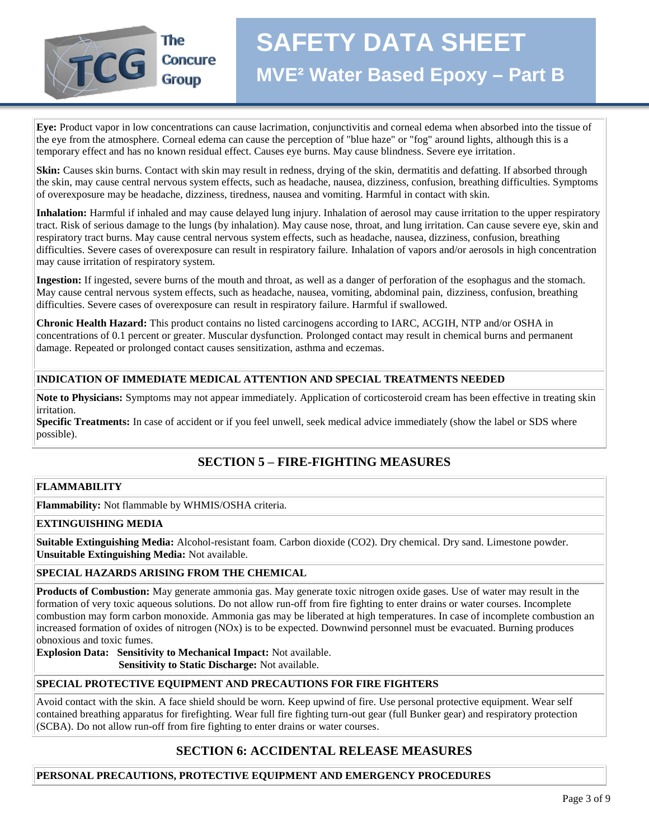

**Eye:** Product vapor in low concentrations can cause lacrimation, conjunctivitis and corneal edema when absorbed into the tissue of the eye from the atmosphere. Corneal edema can cause the perception of "blue haze" or "fog" around lights, although this is a temporary effect and has no known residual effect. Causes eye burns. May cause blindness. Severe eye irritation.

**Skin:** Causes skin burns. Contact with skin may result in redness, drying of the skin, dermatitis and defatting. If absorbed through the skin, may cause central nervous system effects, such as headache, nausea, dizziness, confusion, breathing difficulties. Symptoms of overexposure may be headache, dizziness, tiredness, nausea and vomiting. Harmful in contact with skin.

**Inhalation:** Harmful if inhaled and may cause delayed lung injury. Inhalation of aerosol may cause irritation to the upper respiratory tract. Risk of serious damage to the lungs (by inhalation). May cause nose, throat, and lung irritation. Can cause severe eye, skin and respiratory tract burns. May cause central nervous system effects, such as headache, nausea, dizziness, confusion, breathing difficulties. Severe cases of overexposure can result in respiratory failure. Inhalation of vapors and/or aerosols in high concentration may cause irritation of respiratory system.

**Ingestion:** If ingested, severe burns of the mouth and throat, as well as a danger of perforation of the esophagus and the stomach. May cause central nervous system effects, such as headache, nausea, vomiting, abdominal pain, dizziness, confusion, breathing difficulties. Severe cases of overexposure can result in respiratory failure. Harmful if swallowed.

**Chronic Health Hazard:** This product contains no listed carcinogens according to IARC, ACGIH, NTP and/or OSHA in concentrations of 0.1 percent or greater. Muscular dysfunction. Prolonged contact may result in chemical burns and permanent damage. Repeated or prolonged contact causes sensitization, asthma and eczemas.

#### **INDICATION OF IMMEDIATE MEDICAL ATTENTION AND SPECIAL TREATMENTS NEEDED**

**Note to Physicians:** Symptoms may not appear immediately. Application of corticosteroid cream has been effective in treating skin irritation.

**Specific Treatments:** In case of accident or if you feel unwell, seek medical advice immediately (show the label or SDS where possible).

# **SECTION 5 – FIRE-FIGHTING MEASURES**

#### **FLAMMABILITY**

**Flammability:** Not flammable by WHMIS/OSHA criteria.

#### **EXTINGUISHING MEDIA**

**Suitable Extinguishing Media:** Alcohol-resistant foam. Carbon dioxide (CO2). Dry chemical. Dry sand. Limestone powder. **Unsuitable Extinguishing Media:** Not available.

#### **SPECIAL HAZARDS ARISING FROM THE CHEMICAL**

**Products of Combustion:** May generate ammonia gas. May generate toxic nitrogen oxide gases. Use of water may result in the formation of very toxic aqueous solutions. Do not allow run-off from fire fighting to enter drains or water courses. Incomplete combustion may form carbon monoxide. Ammonia gas may be liberated at high temperatures. In case of incomplete combustion an increased formation of oxides of nitrogen (NOx) is to be expected. Downwind personnel must be evacuated. Burning produces obnoxious and toxic fumes.

**Explosion Data: Sensitivity to Mechanical Impact:** Not available.

 **Sensitivity to Static Discharge:** Not available.

#### **SPECIAL PROTECTIVE EQUIPMENT AND PRECAUTIONS FOR FIRE FIGHTERS**

Avoid contact with the skin. A face shield should be worn. Keep upwind of fire. Use personal protective equipment. Wear self contained breathing apparatus for firefighting. Wear full fire fighting turn-out gear (full Bunker gear) and respiratory protection (SCBA). Do not allow run-off from fire fighting to enter drains or water courses.

# **SECTION 6: ACCIDENTAL RELEASE MEASURES**

#### **PERSONAL PRECAUTIONS, PROTECTIVE EQUIPMENT AND EMERGENCY PROCEDURES**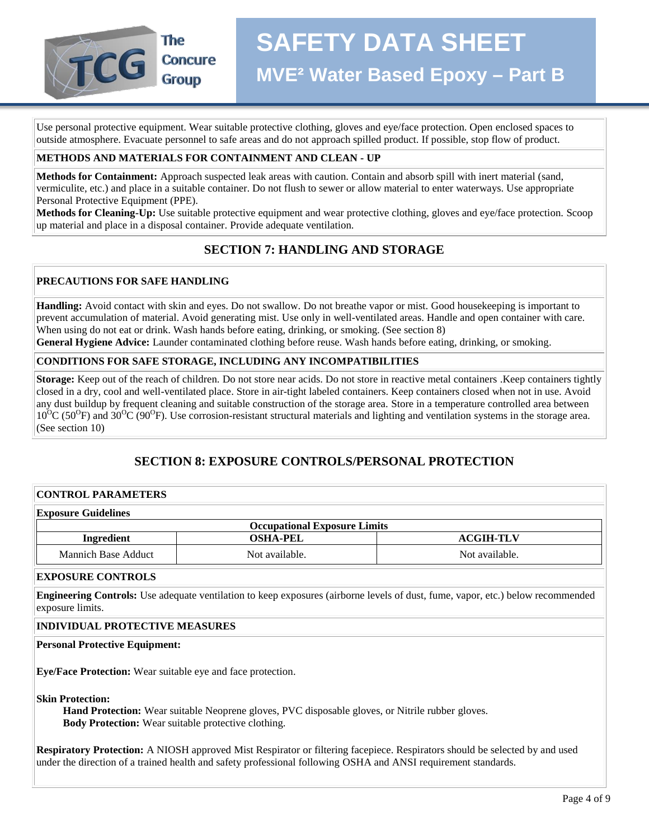

Use personal protective equipment. Wear suitable protective clothing, gloves and eye/face protection. Open enclosed spaces to outside atmosphere. Evacuate personnel to safe areas and do not approach spilled product. If possible, stop flow of product.

#### **METHODS AND MATERIALS FOR CONTAINMENT AND CLEAN - UP**

**Methods for Containment:** Approach suspected leak areas with caution. Contain and absorb spill with inert material (sand, vermiculite, etc.) and place in a suitable container. Do not flush to sewer or allow material to enter waterways. Use appropriate Personal Protective Equipment (PPE).

**Methods for Cleaning-Up:** Use suitable protective equipment and wear protective clothing, gloves and eye/face protection. Scoop up material and place in a disposal container. Provide adequate ventilation.

# **SECTION 7: HANDLING AND STORAGE**

#### **PRECAUTIONS FOR SAFE HANDLING**

**Handling:** Avoid contact with skin and eyes. Do not swallow. Do not breathe vapor or mist. Good housekeeping is important to prevent accumulation of material. Avoid generating mist. Use only in well-ventilated areas. Handle and open container with care. When using do not eat or drink. Wash hands before eating, drinking, or smoking. (See section 8)

**General Hygiene Advice:** Launder contaminated clothing before reuse. Wash hands before eating, drinking, or smoking.

#### **CONDITIONS FOR SAFE STORAGE, INCLUDING ANY INCOMPATIBILITIES**

**Storage:** Keep out of the reach of children. Do not store near acids. Do not store in reactive metal containers . Keep containers tightly closed in a dry, cool and well-ventilated place. Store in air-tight labeled containers. Keep containers closed when not in use. Avoid any dust buildup by frequent cleaning and suitable construction of the storage area. Store in a temperature controlled area between  $10^{6}$ C (50<sup>O</sup>F) and 30<sup>O</sup>C (90<sup>O</sup>F). Use corrosion-resistant structural materials and lighting and ventilation systems in the storage area. (See section 10)

# **SECTION 8: EXPOSURE CONTROLS/PERSONAL PROTECTION**

#### **CONTROL PARAMETERS**

| <b>Exposure Guidelines</b> |                                     |                  |
|----------------------------|-------------------------------------|------------------|
|                            | <b>Occupational Exposure Limits</b> |                  |
| Ingredient                 | <b>OSHA-PEL</b>                     | <b>ACGIH-TLV</b> |
| Mannich Base Adduct        | Not available.                      | Not available.   |

#### **EXPOSURE CONTROLS**

**Engineering Controls:** Use adequate ventilation to keep exposures (airborne levels of dust, fume, vapor, etc.) below recommended exposure limits.

#### **INDIVIDUAL PROTECTIVE MEASURES**

#### **Personal Protective Equipment:**

**Eye/Face Protection:** Wear suitable eye and face protection.

**Skin Protection:**

 **Hand Protection:** Wear suitable Neoprene gloves, PVC disposable gloves, or Nitrile rubber gloves.  **Body Protection:** Wear suitable protective clothing.

**Respiratory Protection:** A NIOSH approved Mist Respirator or filtering facepiece. Respirators should be selected by and used under the direction of a trained health and safety professional following OSHA and ANSI requirement standards.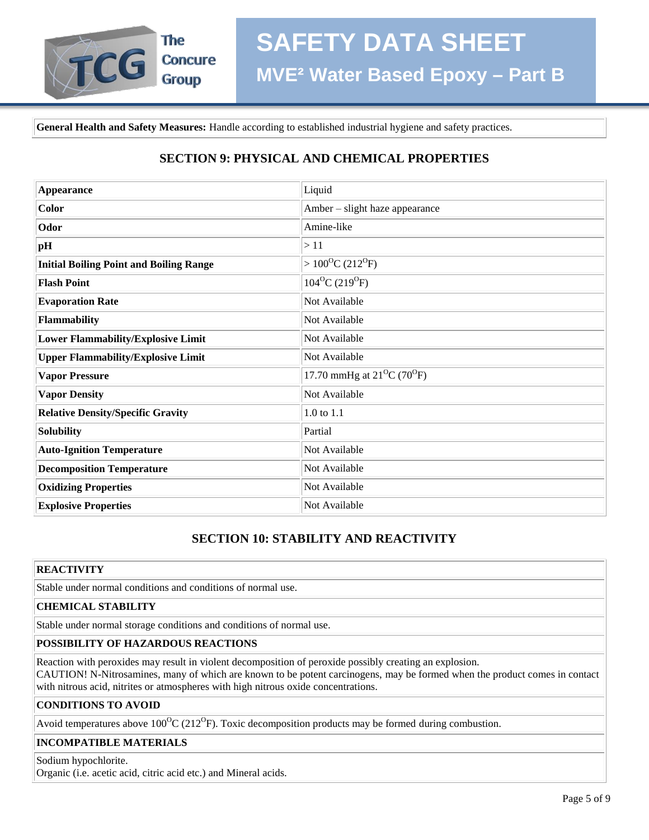

**General Health and Safety Measures:** Handle according to established industrial hygiene and safety practices.

# **SECTION 9: PHYSICAL AND CHEMICAL PROPERTIES**

| <b>Appearance</b>                              | Liquid                           |
|------------------------------------------------|----------------------------------|
| <b>Color</b>                                   | Amber – slight haze appearance   |
| Odor                                           | Amine-like                       |
| pH                                             | >11                              |
| <b>Initial Boiling Point and Boiling Range</b> | $>100^{\circ}C(212^{\circ}F)$    |
| <b>Flash Point</b>                             | $104^{\circ}C(219^{\circ}F)$     |
| <b>Evaporation Rate</b>                        | Not Available                    |
| Flammability                                   | Not Available                    |
| <b>Lower Flammability/Explosive Limit</b>      | Not Available                    |
| <b>Upper Flammability/Explosive Limit</b>      | Not Available                    |
| <b>Vapor Pressure</b>                          | 17.70 mmHg at $21^{0}C(70^{0}F)$ |
| <b>Vapor Density</b>                           | Not Available                    |
| <b>Relative Density/Specific Gravity</b>       | 1.0 to 1.1                       |
| Solubility                                     | Partial                          |
| <b>Auto-Ignition Temperature</b>               | Not Available                    |
| <b>Decomposition Temperature</b>               | Not Available                    |
| <b>Oxidizing Properties</b>                    | Not Available                    |
| <b>Explosive Properties</b>                    | Not Available                    |

# **SECTION 10: STABILITY AND REACTIVITY**

#### **REACTIVITY**

Stable under normal conditions and conditions of normal use.

### **CHEMICAL STABILITY**

Stable under normal storage conditions and conditions of normal use.

#### **POSSIBILITY OF HAZARDOUS REACTIONS**

Reaction with peroxides may result in violent decomposition of peroxide possibly creating an explosion. CAUTION! N-Nitrosamines, many of which are known to be potent carcinogens, may be formed when the product comes in contact with nitrous acid, nitrites or atmospheres with high nitrous oxide concentrations.

#### **CONDITIONS TO AVOID**

Avoid temperatures above  $100^{\circ}$ C (212<sup>o</sup>F). Toxic decomposition products may be formed during combustion.

#### **INCOMPATIBLE MATERIALS**

Sodium hypochlorite. Organic (i.e. acetic acid, citric acid etc.) and Mineral acids.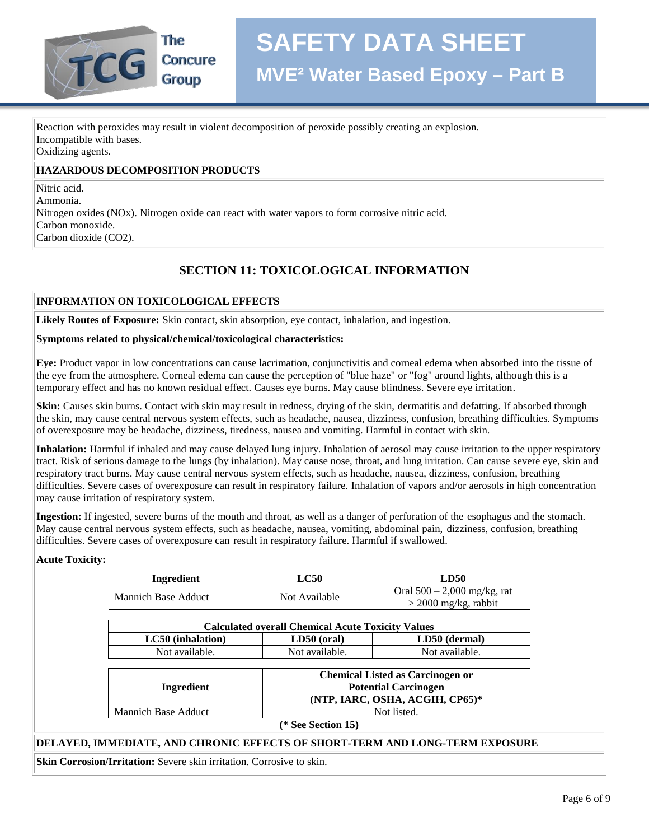

Reaction with peroxides may result in violent decomposition of peroxide possibly creating an explosion. Incompatible with bases. Oxidizing agents.

#### **HAZARDOUS DECOMPOSITION PRODUCTS**

Nitric acid.

Ammonia. Nitrogen oxides (NOx). Nitrogen oxide can react with water vapors to form corrosive nitric acid. Carbon monoxide. Carbon dioxide (CO2).

# **SECTION 11: TOXICOLOGICAL INFORMATION**

#### **INFORMATION ON TOXICOLOGICAL EFFECTS**

**Likely Routes of Exposure:** Skin contact, skin absorption, eye contact, inhalation, and ingestion.

#### **Symptoms related to physical/chemical/toxicological characteristics:**

**Eye:** Product vapor in low concentrations can cause lacrimation, conjunctivitis and corneal edema when absorbed into the tissue of the eye from the atmosphere. Corneal edema can cause the perception of "blue haze" or "fog" around lights, although this is a temporary effect and has no known residual effect. Causes eye burns. May cause blindness. Severe eye irritation.

**Skin:** Causes skin burns. Contact with skin may result in redness, drying of the skin, dermatitis and defatting. If absorbed through the skin, may cause central nervous system effects, such as headache, nausea, dizziness, confusion, breathing difficulties. Symptoms of overexposure may be headache, dizziness, tiredness, nausea and vomiting. Harmful in contact with skin.

**Inhalation:** Harmful if inhaled and may cause delayed lung injury. Inhalation of aerosol may cause irritation to the upper respiratory tract. Risk of serious damage to the lungs (by inhalation). May cause nose, throat, and lung irritation. Can cause severe eye, skin and respiratory tract burns. May cause central nervous system effects, such as headache, nausea, dizziness, confusion, breathing difficulties. Severe cases of overexposure can result in respiratory failure. Inhalation of vapors and/or aerosols in high concentration may cause irritation of respiratory system.

**Ingestion:** If ingested, severe burns of the mouth and throat, as well as a danger of perforation of the esophagus and the stomach. May cause central nervous system effects, such as headache, nausea, vomiting, abdominal pain, dizziness, confusion, breathing difficulties. Severe cases of overexposure can result in respiratory failure. Harmful if swallowed.

#### **Acute Toxicity:**

| Ingredient                 | $_{\rm LC50}$ | LD50                                                    |
|----------------------------|---------------|---------------------------------------------------------|
| <b>Mannich Base Adduct</b> | Not Available | Oral $500 - 2,000$ mg/kg, rat<br>$>$ 2000 mg/kg, rabbit |

| <b>Calculated overall Chemical Acute Toxicity Values</b> |                |                |  |
|----------------------------------------------------------|----------------|----------------|--|
| LC50 (inhalation)                                        | $LD50$ (oral)  | LD50 (dermal)  |  |
| Not available.                                           | Not available. | Not available. |  |

| Ingredient                 | <b>Chemical Listed as Carcinogen or</b><br><b>Potential Carcinogen</b><br>(NTP, IARC, OSHA, ACGIH, CP65)* |
|----------------------------|-----------------------------------------------------------------------------------------------------------|
| <b>Mannich Base Adduct</b> | Not listed.                                                                                               |
|                            | $\sim$<br>$\sim$ $\sim$                                                                                   |

**(\* See Section 15)**

#### **DELAYED, IMMEDIATE, AND CHRONIC EFFECTS OF SHORT-TERM AND LONG-TERM EXPOSURE**

**Skin Corrosion/Irritation:** Severe skin irritation. Corrosive to skin.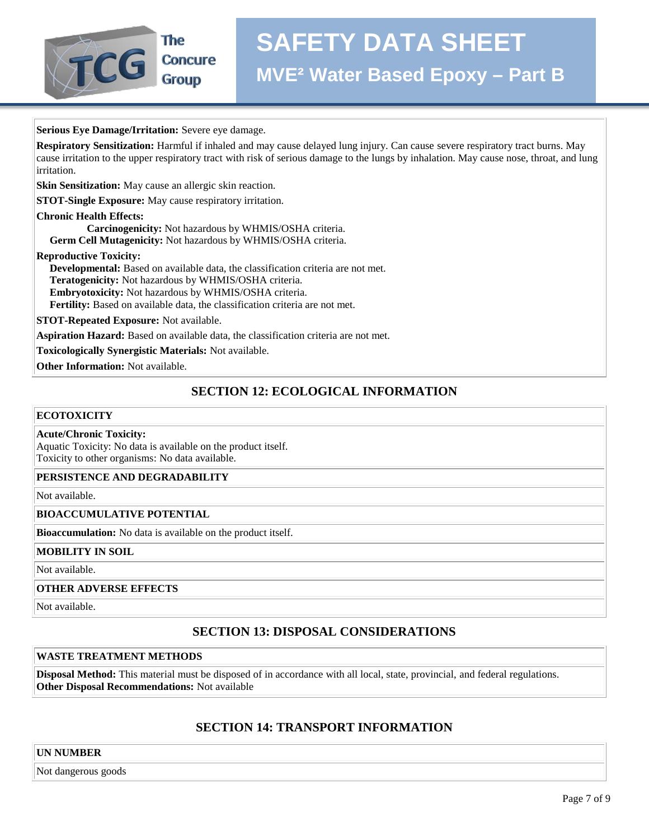

**Serious Eye Damage/Irritation:** Severe eye damage.

**Respiratory Sensitization:** Harmful if inhaled and may cause delayed lung injury. Can cause severe respiratory tract burns. May cause irritation to the upper respiratory tract with risk of serious damage to the lungs by inhalation. May cause nose, throat, and lung irritation.

**Skin Sensitization:** May cause an allergic skin reaction.

**STOT-Single Exposure:** May cause respiratory irritation.

**Chronic Health Effects:**

 **Carcinogenicity:** Not hazardous by WHMIS/OSHA criteria.  **Germ Cell Mutagenicity:** Not hazardous by WHMIS/OSHA criteria.

**Reproductive Toxicity:**

 **Developmental:** Based on available data, the classification criteria are not met.

 **Teratogenicity:** Not hazardous by WHMIS/OSHA criteria.

 **Embryotoxicity:** Not hazardous by WHMIS/OSHA criteria.

 **Fertility:** Based on available data, the classification criteria are not met.

**STOT-Repeated Exposure:** Not available.

**Aspiration Hazard:** Based on available data, the classification criteria are not met.

**Toxicologically Synergistic Materials:** Not available.

**Other Information:** Not available.

# **SECTION 12: ECOLOGICAL INFORMATION**

#### **ECOTOXICITY**

#### **Acute/Chronic Toxicity:**

Aquatic Toxicity: No data is available on the product itself. Toxicity to other organisms: No data available.

#### **PERSISTENCE AND DEGRADABILITY**

Not available.

#### **BIOACCUMULATIVE POTENTIAL**

**Bioaccumulation:** No data is available on the product itself.

#### **MOBILITY IN SOIL**

Not available.

#### **OTHER ADVERSE EFFECTS**

Not available.

# **SECTION 13: DISPOSAL CONSIDERATIONS**

#### **WASTE TREATMENT METHODS**

**Disposal Method:** This material must be disposed of in accordance with all local, state, provincial, and federal regulations. **Other Disposal Recommendations:** Not available

# **SECTION 14: TRANSPORT INFORMATION**

#### **UN NUMBER**

Not dangerous goods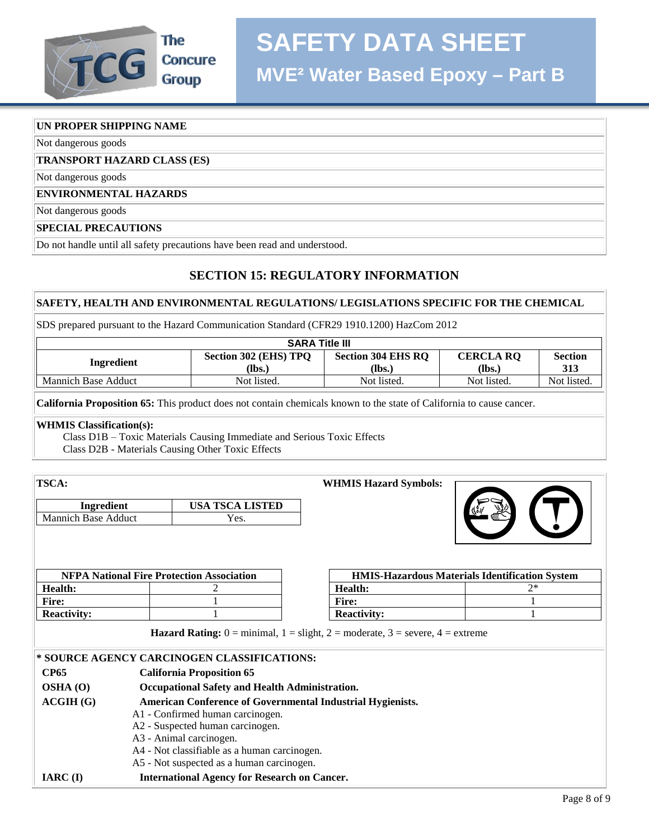# **SAFETY DATA SHEET**



**Concure Group** 

# **UN PROPER SHIPPING NAME**

Not dangerous goods

# **TRANSPORT HAZARD CLASS (ES)**

Not dangerous goods

# **ENVIRONMENTAL HAZARDS**

Not dangerous goods

### **SPECIAL PRECAUTIONS**

Do not handle until all safety precautions have been read and understood.

# **SECTION 15: REGULATORY INFORMATION**

# **SAFETY, HEALTH AND ENVIRONMENTAL REGULATIONS/ LEGISLATIONS SPECIFIC FOR THE CHEMICAL**

SDS prepared pursuant to the Hazard Communication Standard (CFR29 1910.1200) HazCom 2012

| <b>SARA Title III</b> |                                 |                                     |                            |                       |
|-----------------------|---------------------------------|-------------------------------------|----------------------------|-----------------------|
| Ingredient            | Section 302 (EHS) TPQ<br>(Ibs.) | <b>Section 304 EHS RO</b><br>$lbs.$ | <b>CERCLA RO</b><br>(lbs.) | <b>Section</b><br>313 |
| Mannich Base Adduct   | Not listed.                     | Not listed.                         | Not listed.                | Not listed.           |

**California Proposition 65:** This product does not contain chemicals known to the state of California to cause cancer.

# **WHMIS Classification(s):**

 Class D1B – Toxic Materials Causing Immediate and Serious Toxic Effects Class D2B - Materials Causing Other Toxic Effects

| <b>TSCA:</b>               |                                                                                                                                                                                      |       | <b>WHMIS Hazard Symbols:</b> |                                                       |
|----------------------------|--------------------------------------------------------------------------------------------------------------------------------------------------------------------------------------|-------|------------------------------|-------------------------------------------------------|
| Ingredient                 | <b>USA TSCA LISTED</b>                                                                                                                                                               |       |                              |                                                       |
| <b>Mannich Base Adduct</b> | Yes.                                                                                                                                                                                 |       |                              |                                                       |
|                            |                                                                                                                                                                                      |       |                              |                                                       |
|                            | <b>NFPA National Fire Protection Association</b>                                                                                                                                     |       |                              | <b>HMIS-Hazardous Materials Identification System</b> |
| <b>Health:</b>             |                                                                                                                                                                                      |       | Health:                      | $2*$                                                  |
| <b>Fire:</b>               |                                                                                                                                                                                      | Fire: |                              |                                                       |
| <b>Reactivity:</b>         |                                                                                                                                                                                      |       | <b>Reactivity:</b>           |                                                       |
|                            | <b>Hazard Rating:</b> $0 = \text{minimal}$ , $1 = \text{slight}$ , $2 = \text{moderate}$ , $3 = \text{severe}$ , $4 = \text{extreme}$<br>* SOURCE AGENCY CARCINOGEN CLASSIFICATIONS: |       |                              |                                                       |
| <b>CP65</b>                | <b>California Proposition 65</b>                                                                                                                                                     |       |                              |                                                       |
| $OSHA$ $(0)$               | Occupational Safety and Health Administration.                                                                                                                                       |       |                              |                                                       |
| ACGIH(G)                   | <b>American Conference of Governmental Industrial Hygienists.</b><br>A1 - Confirmed human carcinogen.                                                                                |       |                              |                                                       |
|                            | A2 - Suspected human carcinogen.                                                                                                                                                     |       |                              |                                                       |
|                            | A3 - Animal carcinogen.                                                                                                                                                              |       |                              |                                                       |
|                            | A4 - Not classifiable as a human carcinogen.                                                                                                                                         |       |                              |                                                       |
|                            | A5 - Not suspected as a human carcinogen.                                                                                                                                            |       |                              |                                                       |
| $IARC$ (I)                 | <b>International Agency for Research on Cancer.</b>                                                                                                                                  |       |                              |                                                       |
|                            |                                                                                                                                                                                      |       |                              | $D_{\alpha\alpha\alpha}$ $Q_{\alpha}f$                |